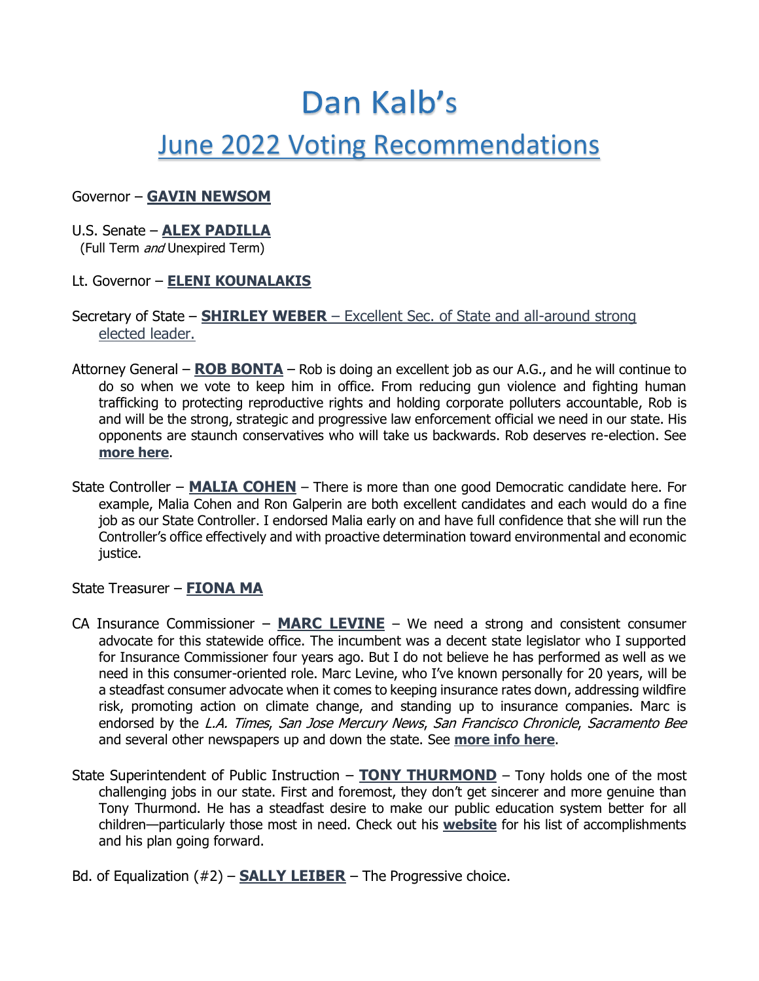# Dan Kalb's June 2022 Voting Recommendations

# Governor – **[GAVIN NEWSOM](https://gavinnewsom.com/)**

#### U.S. Senate – **[ALEX PADILLA](https://alex-padilla.com/)**

(Full Term and Unexpired Term)

## Lt. Governor – **[ELENI KOUNALAKIS](https://www.eleniforca.com/)**

# Secretary of State – **[SHIRLEY WEBER](https://drshirleyweber.com/)** – Excellent Sec. of State and all-around strong elected leader.

- Attorney General **[ROB BONTA](https://robbonta.com/about/)** Rob is doing an excellent job as our A.G., and he will continue to do so when we vote to keep him in office. From reducing gun violence and fighting human trafficking to protecting reproductive rights and holding corporate polluters accountable, Rob is and will be the strong, strategic and progressive law enforcement official we need in our state. His opponents are staunch conservatives who will take us backwards. Rob deserves re-election. See **[more here](https://robbonta.com/issues/)**.
- State Controller **[MALIA COHEN](https://maliacohen.us/issues/)** There is more than one good Democratic candidate here. For example, Malia Cohen and Ron Galperin are both excellent candidates and each would do a fine job as our State Controller. I endorsed Malia early on and have full confidence that she will run the Controller's office effectively and with proactive determination toward environmental and economic justice.

## State Treasurer – **[FIONA MA](https://www.fionama.com/)**

- CA Insurance Commissioner **[MARC LEVINE](https://www.marclevine.org/about)** We need a strong and consistent consumer advocate for this statewide office. The incumbent was a decent state legislator who I supported for Insurance Commissioner four years ago. But I do not believe he has performed as well as we need in this consumer-oriented role. Marc Levine, who I've known personally for 20 years, will be a steadfast consumer advocate when it comes to keeping insurance rates down, addressing wildfire risk, promoting action on climate change, and standing up to insurance companies. Marc is endorsed by the L.A. Times, San Jose Mercury News, San Francisco Chronicle, Sacramento Bee and several other newspapers up and down the state. See **[more info here](https://www.marclevine.org/about)**.
- State Superintendent of Public Instruction **[TONY THURMOND](https://www.tonythurmond.com/)** Tony holds one of the most challenging jobs in our state. First and foremost, they don't get sincerer and more genuine than Tony Thurmond. He has a steadfast desire to make our public education system better for all children—particularly those most in need. Check out his **[website](https://www.tonythurmond.com/about)** for his list of accomplishments and his plan going forward.
- Bd. of Equalization (#2) **[SALLY LEIBER](https://www.sallylieber.org/)** The Progressive choice.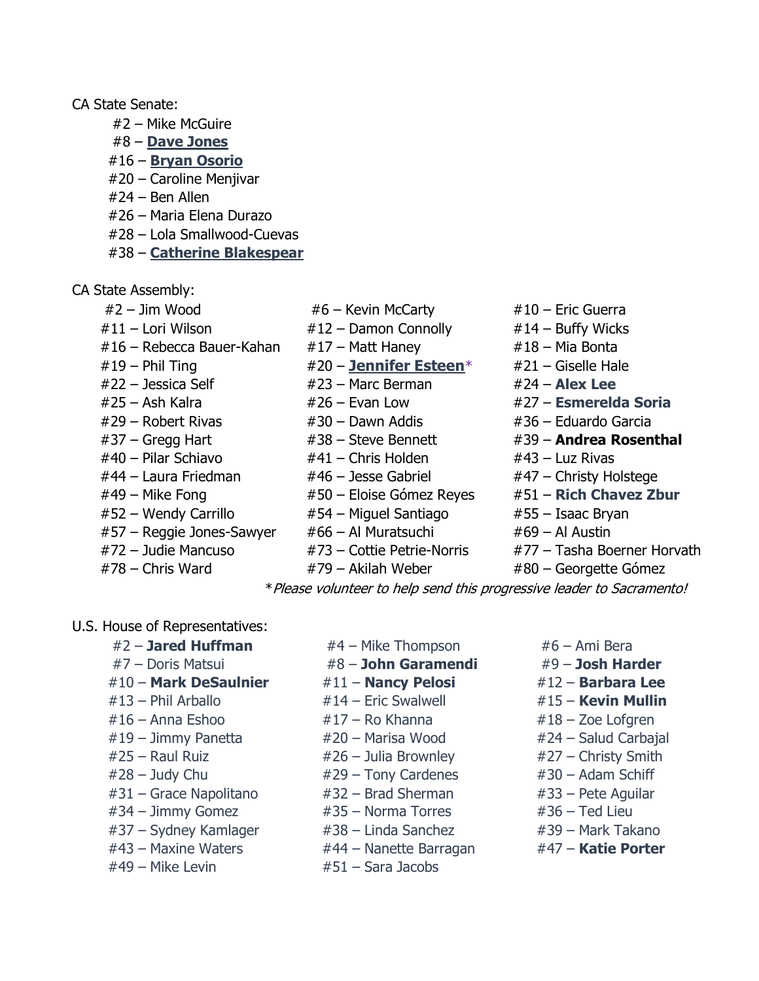#### CA State Senate:

- #2 Mike McGuire
- #8 **[Dave Jones](https://www.davejonesforsenate.com/)**
- #16 **[Bryan Osorio](https://osorioforsenate.com/home)**
- #20 Caroline Menjivar
- #24 Ben Allen
- #26 Maria Elena Durazo
- #28 Lola Smallwood-Cuevas
- #38 **[Catherine Blakespear](https://catherineblakespear.com/meet-catherine/)**
- CA State Assembly:
	-
	-
	- $#16$  Rebecca Bauer-Kahan  $#17$  Matt Haney  $#18$  Mia Bonta
	-
	-
	-
	-
	-
	-
	-
	-
	- #52 Wendy Carrillo #54 Miguel Santiago #55 Isaac Bryan
	- $#57$  Reggie Jones-Sawyer  $#66$  Al Muratsuchi  $#69$  Al Austin
	-
	-
- $#2 Jim Wood$   $#6 Kevin$  McCarty  $#10 -$  Eric Guerra
- $\#11$  Lori Wilson  $\#12$  Damon Connolly  $\#14$  Buffy Wicks
	-
- #19 Phil Ting #20 **[Jennifer Esteen](https://www.jenniferesteen.com/why-i-m-running)**\* #21 Giselle Hale
- #22 Jessica Self #23 Marc Berman #24 **Alex Lee**
	-
	-
	-
- #40 Pilar Schiavo #41 Chris Holden #43 Luz Rivas
	-
	-
	-
	-
	-
- #78 Chris Ward #79 Akilah Weber #80 Georgette Gómez
- 
- 
- 
- 
- 
- #25 Ash Kalra #26 Evan Low #27 **Esmerelda Soria**
- #29 Robert Rivas #30 Dawn Addis #36 Eduardo Garcia
- #37 Gregg Hart #38 Steve Bennett #39 **Andrea Rosenthal**
	-
- #44 Laura Friedman #46 Jesse Gabriel #47 Christy Holstege
- #49 Mike Fong #50 Eloise Gómez Reyes #51 **Rich Chavez Zbur**
	-
	-
- #72 Judie Mancuso #73 Cottie Petrie-Norris #77 Tasha Boerner Horvath
	-

\*Please volunteer to help send this progressive leader to Sacramento!

#### U.S. House of Representatives:

- #2 **Jared Huffman** #4 Mike Thompson #6 Ami Bera #7 – Doris Matsui #8 – **John Garamendi** #9 – **Josh Harder** #10 – **Mark DeSaulnier** #11 – **Nancy Pelosi** #12 – **Barbara Lee** #13 – Phil Arballo #14 – Eric Swalwell #15 – **Kevin Mullin** #16 – Anna Eshoo #17 – Ro Khanna #18 – Zoe Lofgren #19 – Jimmy Panetta #20 – Marisa Wood #24 – Salud Carbajal  $#25$  – Raul Ruiz  $#26$  – Julia Brownley  $#27$  – Christy Smith  $\#28 - J$ udy Chu  $\#29 - T$ ony Cardenes  $\#30 -$ Adam Schiff #31 – Grace Napolitano #32 – Brad Sherman #33 – Pete Aguilar  $#34 - Jimmy Gomez$   $#35 - Norman Torres$   $#36 - Ted Lieu$ #37 – Sydney Kamlager  $\qquad$  #38 – Linda Sanchez  $\qquad$  #39 – Mark Takano #43 – Maxine Waters #44 – Nanette Barragan #47 – **Katie Porter**
- 
- 
- 
- 
- 
- 
- 
- 
- 
- 
- 
- 
- 
- $\#49$  Mike Levin  $\#51$  Sara Jacobs
- 
- 
- -

- 
- 
- 
- 
- 
- 
- 
- 
- 
- 
- - -
	-
	-
	-
	-
- 
- 
- - -
		-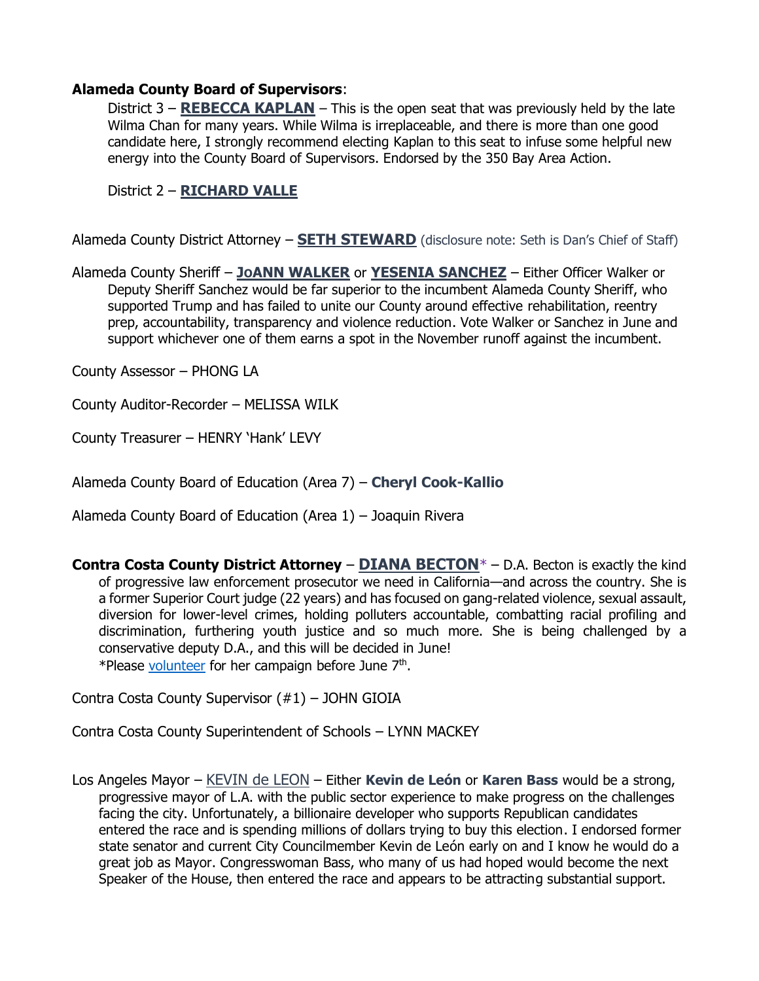#### **Alameda County Board of Supervisors**:

District 3 – **[REBECCA KAPLAN](https://www.supervisorkaplan.org/)** – This is the open seat that was previously held by the late Wilma Chan for many years. While Wilma is irreplaceable, and there is more than one good candidate here, I strongly recommend electing Kaplan to this seat to infuse some helpful new energy into the County Board of Supervisors. Endorsed by the 350 Bay Area Action.

District 2 – **[RICHARD VALLE](https://electsupervisorvalle.nationbuilder.com/)**

Alameda County District Attorney – **[SETH STEWARD](https://www.sethstewardforda.com/)** (disclosure note: Seth is Dan's Chief of Staff)

Alameda County Sheriff – **JO[ANN WALKER](https://www.joannwalker4sheriff.com/about_joann)** or **[YESENIA SANCHEZ](https://www.sanchez4sheriff.com/platform)** – Either Officer Walker or Deputy Sheriff Sanchez would be far superior to the incumbent Alameda County Sheriff, who supported Trump and has failed to unite our County around effective rehabilitation, reentry prep, accountability, transparency and violence reduction. Vote Walker or Sanchez in June and support whichever one of them earns a spot in the November runoff against the incumbent.

County Assessor – PHONG LA

County Auditor-Recorder – MELISSA WILK

County Treasurer – HENRY 'Hank' LEVY

Alameda County Board of Education (Area 7) – **Cheryl Cook-Kallio**

Alameda County Board of Education (Area 1) – Joaquin Rivera

**Contra Costa County District Attorney** – **[DIANA BECTON](https://dianabecton.com/about)**\* – D.A. Becton is exactly the kind of progressive law enforcement prosecutor we need in California—and across the country. She is a former Superior Court judge (22 years) and has focused on gang-related violence, sexual assault, diversion for lower-level crimes, holding polluters accountable, combatting racial profiling and discrimination, furthering youth justice and so much more. She is being challenged by a conservative deputy D.A., and this will be decided in June! \*Please [volunteer](https://dianabecton.com/join) for her campaign before June 7<sup>th</sup>.

Contra Costa County Supervisor (#1) – JOHN GIOIA

Contra Costa County Superintendent of Schools – LYNN MACKEY

Los Angeles Mayor – [KEVIN de LEON](https://www.kevindeleon.com/) – Either **Kevin de León** or **Karen Bass** would be a strong, progressive mayor of L.A. with the public sector experience to make progress on the challenges facing the city. Unfortunately, a billionaire developer who supports Republican candidates entered the race and is spending millions of dollars trying to buy this election. I endorsed former state senator and current City Councilmember Kevin de León early on and I know he would do a great job as Mayor. Congresswoman Bass, who many of us had hoped would become the next Speaker of the House, then entered the race and appears to be attracting substantial support.